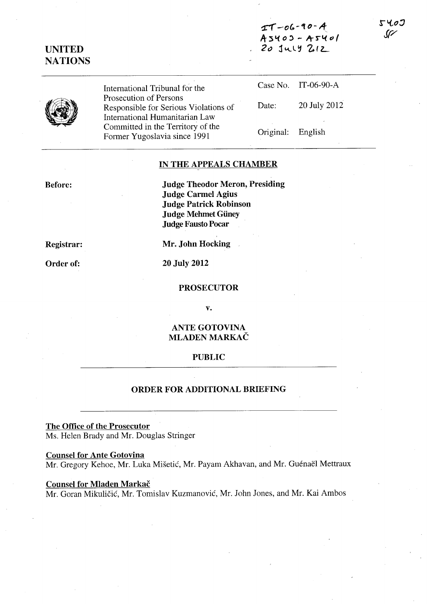$T-06-90 - A$ **A-:sl.(o, - 1'r'S'l.(cJ(**   $20$   $141$   $212$ 

**UNITED NATIONS** 

| International Tribunal for the                                            |                   | Case No. IT-06-90-A |
|---------------------------------------------------------------------------|-------------------|---------------------|
| Prosecution of Persons<br>Responsible for Serious Violations of           | Date:             | 20 July 2012        |
| International Humanitarian Law                                            |                   |                     |
| Committed in the Territory of the<br>E <sub>comson</sub> V <sub>2</sub> z | Original: English |                     |

## **IN THE APPEALS CHAMBER**

**Judge Theodor Meron, Presiding Judge Carmel Agius Judge Patrick Robinson Judge Mehmet Güney Judge Fausto Pocar** 

**Registrar:** 

**Before:** 

**Order of:** 

**Mr. John Hocking** 

**20 July 2012** 

Former Yugoslavia since 1991

### **PROSECUTOR**

**v.** 

## **ANTE GOTOVINA MLADEN MARKAC**

## **PUBLIC**

#### **ORDER FOR ADDITIONAL BRIEFING**

**The Office of the Prosecutor**  Ms. Helen Brady and Mr. Douglas Stringer

## **Counsel for Ante Gotovina**

Mr. Gregory Kehoe, Mr. Luka Mišetić, Mr. Payam Akhavan, and Mr. Guénaël Mettraux

# **Counsel for Mladen Markač**

Mr. Goran Mikuličić, Mr. Tomislav Kuzmanović, Mr. John Jones, and Mr. Kai Ambos

5400  $\mathcal{G}$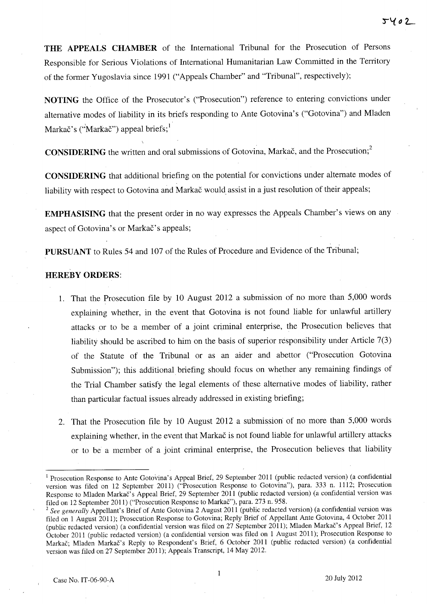**THE APPEALS CHAMBER** of the International Tribunal for the Prosecution of Persons Responsible for Serious Violations of International Humanitarian Law Committed in the Territory of the former Yugoslavia since 1991 ("Appeals Chamber" and "Tribunal", respectively);

**NOTING** the Office of the Prosecutor's ("Prosecution") reference to entering convictions under alternative modes of liability in its briefs responding to Ante Gotovina's ("Gotovina") and Mladen Markač's ("Markač") appeal briefs;  $\frac{1}{1}$ 

**CONSIDERING** the written and oral submissions of Gotovina, Markač, and the Prosecution;<sup>2</sup>

**CONSIDERING** that additional briefing on the potential for convictions under alternate modes of liability with respect to Gotovina and Markac would assist in a just resolution of their appeals;

**EMPHASISING** that the present order in no way expresses the Appeals Chamber's views on any aspect of Gotovina's or Markac's appeals;

**PURSUANT** to Rules 54 and 107 of the Rules of Procedure and Evidence of the Tribunal;

# **HEREBY ORDERS:**

- 1. That the Prosecution file by 10 August 2012 a submission of no more than 5,000 words explaining whether, in the event that Gotovina is not found liable for unlawful artillery attacks or to be a member of a joint criminal enterprise, the Prosecution believes that liability should be ascribed to him on the basis of superior responsibility under Article 7(3) of the Statute of the Tribunal or as an aider and abettor ("Prosecution Gotovina Submission"); this additional briefing should focus on whether any remaining findings of the Trial Chamber satisfy the legal elements of these alternative modes of liability, rather than particular factual issues already addressed in existing briefing;
- 2. That the Prosecution file by 10 August 2012 a submission of no more than 5,000 words explaining whether, in the event that Markač is not found liable for unlawful artillery attacks or to be a member of a joint criminal enterprise, the Prosecution believes that liability

<sup>&</sup>lt;sup>1</sup> Prosecution Response to Ante Gotovina's Appeal Brief, 29 September 2011 (public redacted version) (a confidential version was filed on 12 September 2011) ("Prosecution Response to Gotovina"), para. 333 n. 1112; Prosecution Response to Mladen Markac's Appeal Brief, 29 September 2011 (public redacted version) (a confidential version was filed on 12 September 2011) ("Prosecution Response to Markac"), para. 273 n. 958.

<sup>&</sup>lt;sup>2</sup> See generally Appellant's Brief of Ante Gotovina 2 August 2011 (public redacted version) (a confidential version was filed on 1 August 2011); Prosecution Response to Gotovina; Reply Brief of Appellant Ante Gotovina, 4 October 2011 (public redacted version) (a confidential version was filed on 27 September 2011); Mladen Markac's Appeal Brief, 12 October 2011 (public redacted version) (a confidential version was filed on 1 August 2011); Prosecution Response to Markac; Mladen Markac's Reply to Respondent's Brief, 6 October 2011 (public redacted version) (a confidential version was filed on 27 September 2011); Appeals Transcript, 14 May 2012.